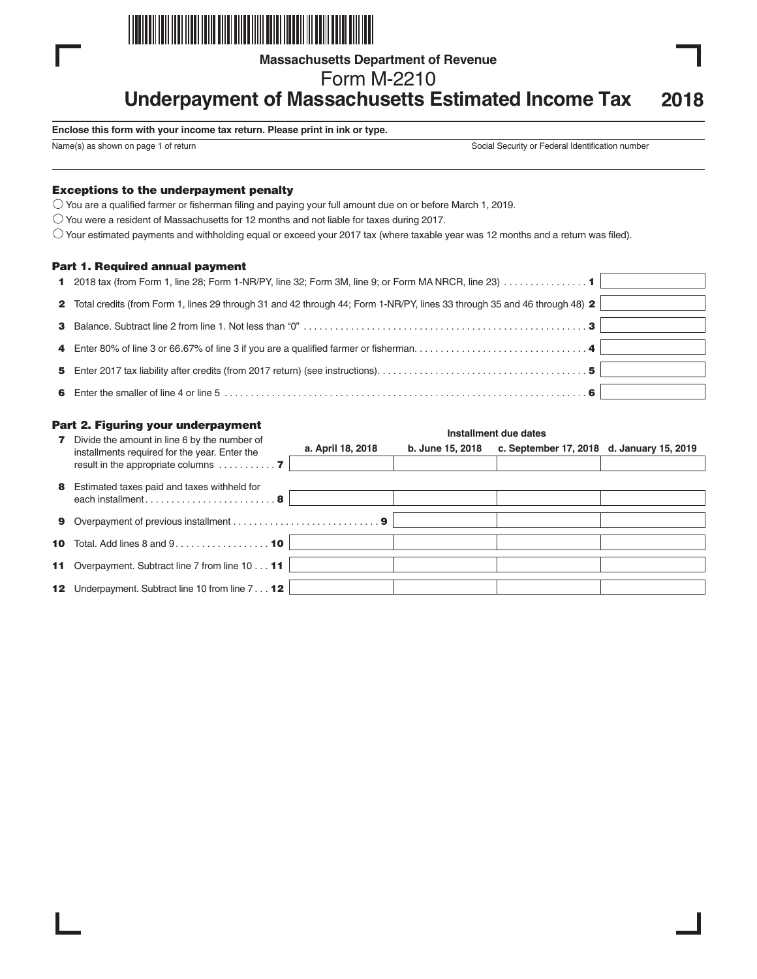

**Massachusetts Department of Revenue**

Form M-2210

**Underpayment of Massachusetts Estimated Income Tax 2018**

#### **Enclose this form with your income tax return. Please print in ink or type.**

Name(s) as shown on page 1 of return Social Security or Federal Identification number

## Exceptions to the underpayment penalty

 $\bigcirc$  You are a qualified farmer or fisherman filing and paying your full amount due on or before March 1, 2019.

 $\bigcirc$  You were a resident of Massachusetts for 12 months and not liable for taxes during 2017.

 $\circlearrowright$  Your estimated payments and withholding equal or exceed your 2017 tax (where taxable year was 12 months and a return was filed).

#### Part 1. Required annual payment

| 1 2018 tax (from Form 1, line 28; Form 1-NR/PY, line 32; Form 3M, line 9; or Form MA NRCR, line 23) 1                       |  |
|-----------------------------------------------------------------------------------------------------------------------------|--|
| 2 Total credits (from Form 1, lines 29 through 31 and 42 through 44; Form 1-NR/PY, lines 33 through 35 and 46 through 48) 2 |  |
|                                                                                                                             |  |
|                                                                                                                             |  |
|                                                                                                                             |  |
|                                                                                                                             |  |

|              | Part 2. Figuring your underpayment                                                                                                                   | Installment due dates |                  |                                           |  |  |
|--------------|------------------------------------------------------------------------------------------------------------------------------------------------------|-----------------------|------------------|-------------------------------------------|--|--|
| $\mathbf{z}$ | Divide the amount in line 6 by the number of<br>installments required for the year. Enter the<br>result in the appropriate columns $\dots\dots\dots$ | a. April 18, 2018     | b. June 15, 2018 | c. September 17, 2018 d. January 15, 2019 |  |  |
| 8            | Estimated taxes paid and taxes withheld for<br>each installment8                                                                                     |                       |                  |                                           |  |  |
|              |                                                                                                                                                      |                       |                  |                                           |  |  |
|              | <b>10</b> Total. Add lines 8 and $9 \ldots \ldots \ldots \ldots \ldots$                                                                              |                       |                  |                                           |  |  |
|              | 11 Overpayment. Subtract line 7 from line 10 11                                                                                                      |                       |                  |                                           |  |  |
|              | <b>12</b> Underpayment. Subtract line 10 from line 7 <b>12</b>                                                                                       |                       |                  |                                           |  |  |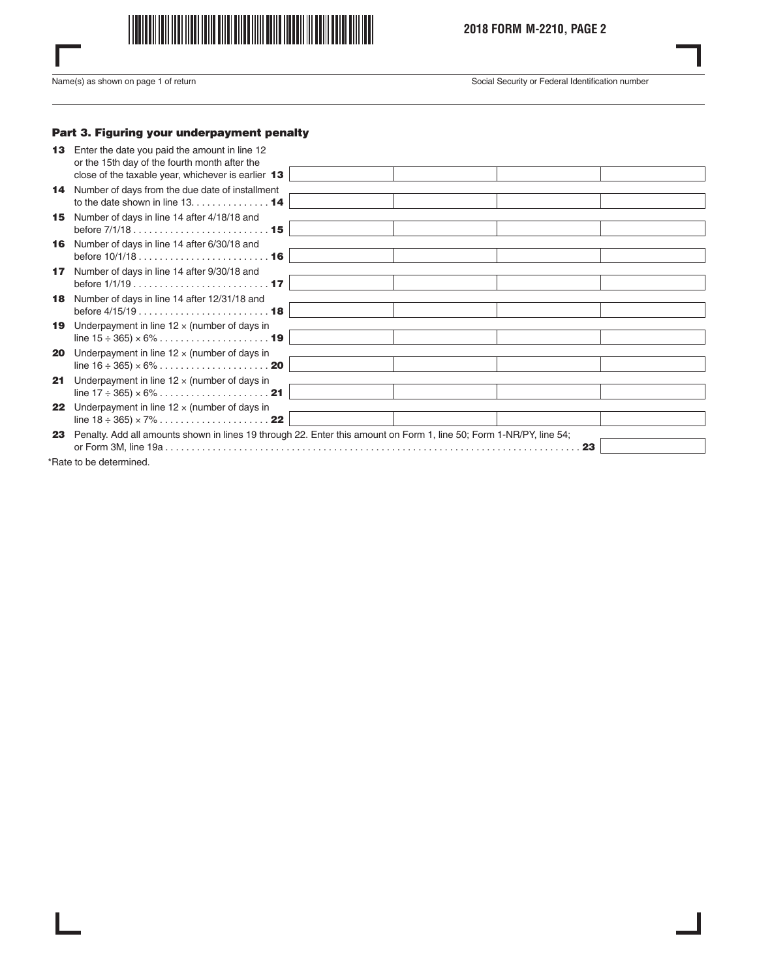

Name(s) as shown on page 1 of return Social Security or Federal Identification number

## Part 3. Figuring your underpayment penalty

| 13 <sup>1</sup> | Enter the date you paid the amount in line 12<br>or the 15th day of the fourth month after the                                    |                                                                                                                     |    |
|-----------------|-----------------------------------------------------------------------------------------------------------------------------------|---------------------------------------------------------------------------------------------------------------------|----|
|                 | close of the taxable year, whichever is earlier 13                                                                                |                                                                                                                     |    |
|                 | 14 Number of days from the due date of installment                                                                                |                                                                                                                     |    |
|                 | to the date shown in line $13. \ldots \ldots \ldots \ldots \cdot 14$                                                              |                                                                                                                     |    |
| 15              | Number of days in line 14 after 4/18/18 and                                                                                       |                                                                                                                     |    |
|                 | 16 Number of days in line 14 after 6/30/18 and                                                                                    |                                                                                                                     |    |
| 17 <sup>1</sup> | Number of days in line 14 after 9/30/18 and                                                                                       |                                                                                                                     |    |
| 18              | Number of days in line 14 after 12/31/18 and                                                                                      |                                                                                                                     |    |
| 19              | Underpayment in line $12 \times$ (number of days in                                                                               |                                                                                                                     |    |
| 20              | Underpayment in line $12 \times$ (number of days in                                                                               |                                                                                                                     |    |
| 21              | Underpayment in line $12 \times$ (number of days in                                                                               |                                                                                                                     |    |
| 22              | Underpayment in line $12 \times$ (number of days in<br>line $18 \div 365 \times 7\% \dots \dots \dots \dots \dots \dots \cdot 22$ |                                                                                                                     |    |
| 23              |                                                                                                                                   | Penalty. Add all amounts shown in lines 19 through 22. Enter this amount on Form 1, line 50; Form 1-NR/PY, line 54; | 23 |
|                 | Find the dealership of the control of the                                                                                         |                                                                                                                     |    |

\*Rate to be determined.

 $\overline{\phantom{a}}$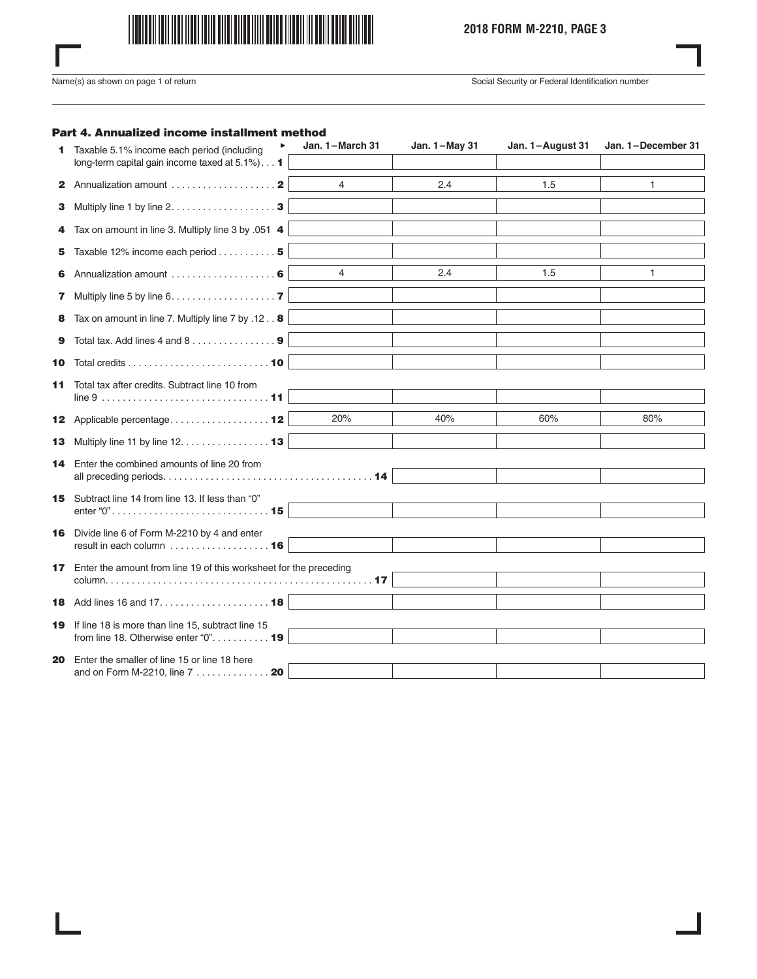

# **2018 FORM M-2210, PAGE 3**

 $\overline{\phantom{a}}$ 

Name(s) as shown on page 1 of return Social Security or Federal Identification number

## Part 4. Annualized income installment method

|    | ▶<br>Taxable 5.1% income each period (including                                            | Jan. 1-March 31 | Jan. 1-May 31 | Jan. 1-August 31 | Jan. 1-December 31 |
|----|--------------------------------------------------------------------------------------------|-----------------|---------------|------------------|--------------------|
|    | long-term capital gain income taxed at 5.1%)1                                              |                 |               |                  |                    |
|    | <b>2</b> Annualization amount $\ldots, \ldots, \ldots, \ldots, \mathbf{2}$                 | $\overline{4}$  | 2.4           | 1.5              | 1                  |
| З. | Multiply line 1 by line 2. 3                                                               |                 |               |                  |                    |
| 4  | Tax on amount in line 3. Multiply line 3 by .051 4                                         |                 |               |                  |                    |
| 5. | Taxable 12% income each period 5                                                           |                 |               |                  |                    |
| 6. |                                                                                            | $\overline{4}$  | 2.4           | 1.5              | 1                  |
| 7  | Multiply line 5 by line 6. 7                                                               |                 |               |                  |                    |
| 8  | Tax on amount in line 7. Multiply line 7 by .12 8                                          |                 |               |                  |                    |
| 9  |                                                                                            |                 |               |                  |                    |
| 10 |                                                                                            |                 |               |                  |                    |
| 11 | Total tax after credits. Subtract line 10 from                                             |                 |               |                  |                    |
|    | 12 Applicable percentage 12                                                                | 20%             | 40%           | 60%              | 80%                |
|    | 13 Multiply line 11 by line 12. 13                                                         |                 |               |                  |                    |
| 14 | Enter the combined amounts of line 20 from                                                 |                 |               |                  |                    |
|    | 15 Subtract line 14 from line 13. If less than "0"                                         |                 |               |                  |                    |
| 16 | Divide line 6 of Form M-2210 by 4 and enter<br>result in each column  16                   |                 |               |                  |                    |
|    | 17 Enter the amount from line 19 of this worksheet for the preceding                       |                 |               |                  |                    |
|    |                                                                                            |                 |               |                  |                    |
| 19 | If line 18 is more than line 15, subtract line 15<br>from line 18. Otherwise enter "0". 19 |                 |               |                  |                    |
| 20 | Enter the smaller of line 15 or line 18 here                                               |                 |               |                  |                    |